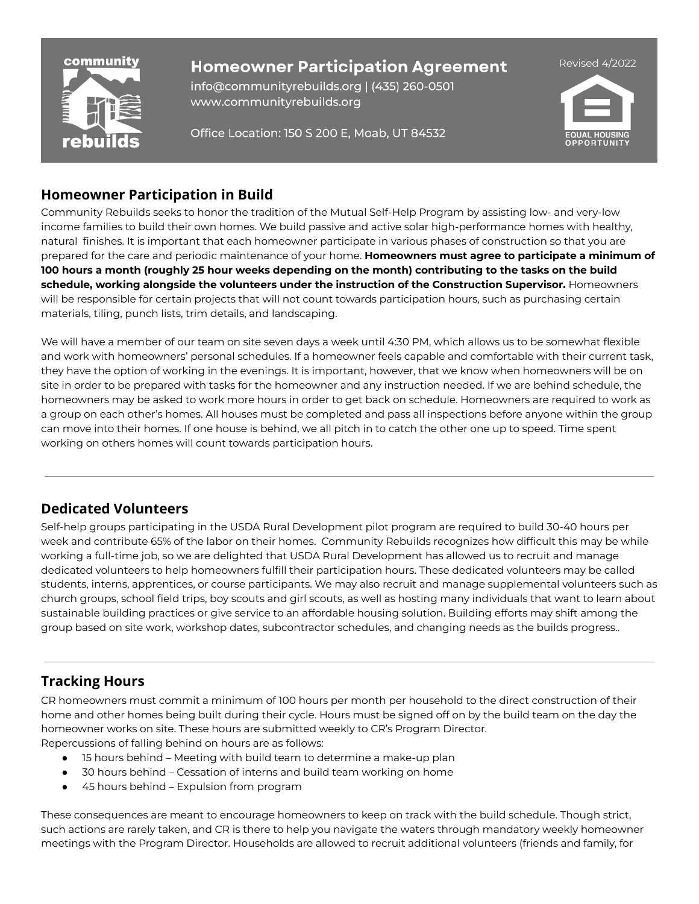

info@communityrebuilds.org | (435) 260-0501 www.communityrebuilds.org

Office Location: 150 S 200 E, Moab, UT 84532



## **Homeowner Participation in Build**

Community Rebuilds seeks to honor the tradition of the Mutual Self-Help Program by assisting low- and very-low income families to build their own homes. We build passive and active solar high-performance homes with healthy, natural finishes. It is important that each homeowner participate in various phases of construction so that you are prepared for the care and periodic maintenance of your home. **Homeowners must agree to participate a minimum of** 100 hours a month (roughly 25 hour weeks depending on the month) contributing to the tasks on the build **schedule, working alongside the volunteers under the instruction of the Construction Supervisor.** Homeowners will be responsible for certain projects that will not count towards participation hours, such as purchasing certain materials, tiling, punch lists, trim details, and landscaping.

We will have a member of our team on site seven days a week until 4:30 PM, which allows us to be somewhat flexible and work with homeowners' personal schedules. If a homeowner feels capable and comfortable with their current task, they have the option of working in the evenings. It is important, however, that we know when homeowners will be on site in order to be prepared with tasks for the homeowner and any instruction needed. If we are behind schedule, the homeowners may be asked to work more hours in order to get back on schedule. Homeowners are required to work as a group on each other's homes. All houses must be completed and pass all inspections before anyone within the group can move into their homes. If one house is behind, we all pitch in to catch the other one up to speed. Time spent working on others homes will count towards participation hours.

## **Dedicated Volunteers**

Self-help groups participating in the USDA Rural Development pilot program are required to build 30-40 hours per week and contribute 65% of the labor on their homes. Community Rebuilds recognizes how difficult this may be while working a full-time job, so we are delighted that USDA Rural Development has allowed us to recruit and manage dedicated volunteers to help homeowners fulfill their participation hours. These dedicated volunteers may be called students, interns, apprentices, or course participants. We may also recruit and manage supplemental volunteers such as church groups, school field trips, boy scouts and girl scouts, as well as hosting many individuals that want to learn about sustainable building practices or give service to an affordable housing solution. Building efforts may shift among the group based on site work, workshop dates, subcontractor schedules, and changing needs as the builds progress..

# **Tracking Hours**

CR homeowners must commit a minimum of 100 hours per month per household to the direct construction of their home and other homes being built during their cycle. Hours must be signed off on by the build team on the day the homeowner works on site. These hours are submitted weekly to CR's Program Director. Repercussions of falling behind on hours are as follows:

- 15 hours behind Meeting with build team to determine a make-up plan
- 30 hours behind Cessation of interns and build team working on home
- 45 hours behind Expulsion from program

These consequences are meant to encourage homeowners to keep on track with the build schedule. Though strict, such actions are rarely taken, and CR is there to help you navigate the waters through mandatory weekly homeowner meetings with the Program Director. Households are allowed to recruit additional volunteers (friends and family, for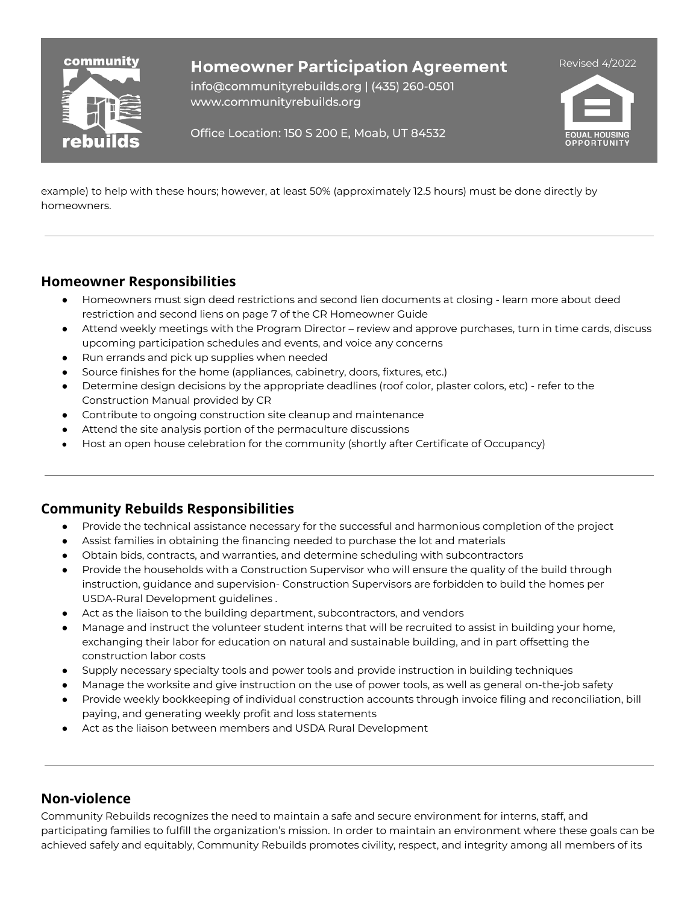

info@communityrebuilds.org | (435) 260-0501 www.communityrebuilds.org



Office Location: 150 S 200 E, Moab, UT 84532

example) to help with these hours; however, at least 50% (approximately 12.5 hours) must be done directly by homeowners.

### **Homeowner Responsibilities**

- Homeowners must sign deed restrictions and second lien documents at closing learn more about deed restriction and second liens on page 7 of the CR Homeowner Guide
- Attend weekly meetings with the Program Director review and approve purchases, turn in time cards, discuss upcoming participation schedules and events, and voice any concerns
- Run errands and pick up supplies when needed
- Source finishes for the home (appliances, cabinetry, doors, fixtures, etc.)
- Determine design decisions by the appropriate deadlines (roof color, plaster colors, etc) refer to the Construction Manual provided by CR
- Contribute to ongoing construction site cleanup and maintenance
- Attend the site analysis portion of the permaculture discussions
- Host an open house celebration for the community (shortly after Certificate of Occupancy)

### **Community Rebuilds Responsibilities**

- Provide the technical assistance necessary for the successful and harmonious completion of the project
- Assist families in obtaining the financing needed to purchase the lot and materials
- Obtain bids, contracts, and warranties, and determine scheduling with subcontractors
- Provide the households with a Construction Supervisor who will ensure the quality of the build through instruction, guidance and supervision- Construction Supervisors are forbidden to build the homes per USDA-Rural Development guidelines .
- Act as the liaison to the building department, subcontractors, and vendors
- Manage and instruct the volunteer student interns that will be recruited to assist in building your home, exchanging their labor for education on natural and sustainable building, and in part offsetting the construction labor costs
- Supply necessary specialty tools and power tools and provide instruction in building techniques
- Manage the worksite and give instruction on the use of power tools, as well as general on-the-job safety
- Provide weekly bookkeeping of individual construction accounts through invoice filing and reconciliation, bill paying, and generating weekly profit and loss statements
- Act as the liaison between members and USDA Rural Development

### **Non-violence**

Community Rebuilds recognizes the need to maintain a safe and secure environment for interns, staff, and participating families to fulfill the organization's mission. In order to maintain an environment where these goals can be achieved safely and equitably, Community Rebuilds promotes civility, respect, and integrity among all members of its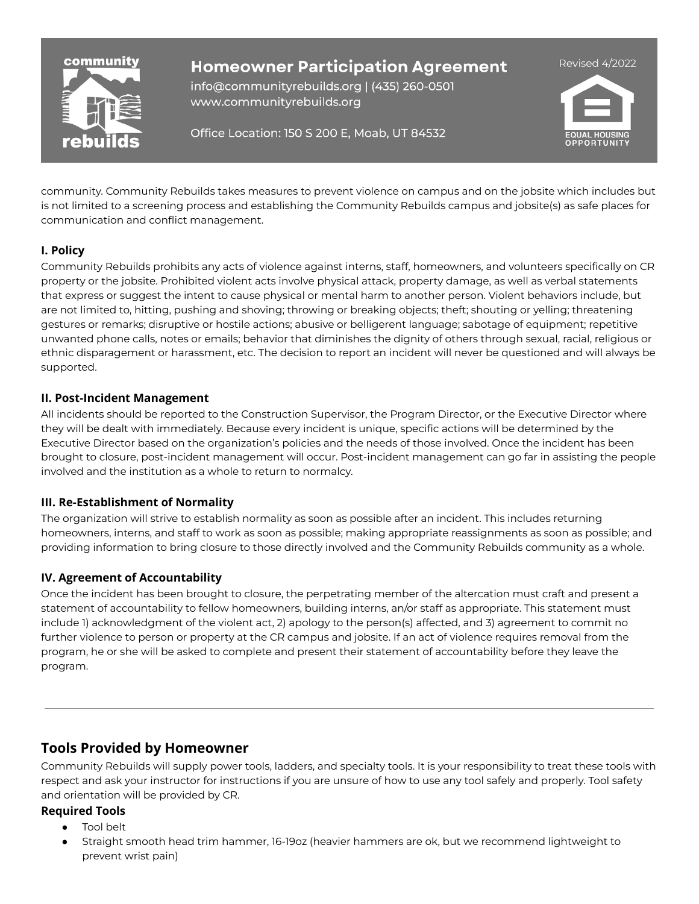

info@communityrebuilds.org | (435) 260-0501 www.communityrebuilds.org

Office Location: 150 S 200 E, Moab, UT 84532



community. Community Rebuilds takes measures to prevent violence on campus and on the jobsite which includes but is not limited to a screening process and establishing the Community Rebuilds campus and jobsite(s) as safe places for communication and conflict management.

### **I. Policy**

Community Rebuilds prohibits any acts of violence against interns, staff, homeowners, and volunteers specifically on CR property or the jobsite. Prohibited violent acts involve physical attack, property damage, as well as verbal statements that express or suggest the intent to cause physical or mental harm to another person. Violent behaviors include, but are not limited to, hitting, pushing and shoving; throwing or breaking objects; theft; shouting or yelling; threatening gestures or remarks; disruptive or hostile actions; abusive or belligerent language; sabotage of equipment; repetitive unwanted phone calls, notes or emails; behavior that diminishes the dignity of others through sexual, racial, religious or ethnic disparagement or harassment, etc. The decision to report an incident will never be questioned and will always be supported.

#### **II. Post-Incident Management**

All incidents should be reported to the Construction Supervisor, the Program Director, or the Executive Director where they will be dealt with immediately. Because every incident is unique, specific actions will be determined by the Executive Director based on the organization's policies and the needs of those involved. Once the incident has been brought to closure, post-incident management will occur. Post-incident management can go far in assisting the people involved and the institution as a whole to return to normalcy.

### **III. Re-Establishment of Normality**

The organization will strive to establish normality as soon as possible after an incident. This includes returning homeowners, interns, and staff to work as soon as possible; making appropriate reassignments as soon as possible; and providing information to bring closure to those directly involved and the Community Rebuilds community as a whole.

### **IV. Agreement of Accountability**

Once the incident has been brought to closure, the perpetrating member of the altercation must craft and present a statement of accountability to fellow homeowners, building interns, an/or staff as appropriate. This statement must include 1) acknowledgment of the violent act, 2) apology to the person(s) affected, and 3) agreement to commit no further violence to person or property at the CR campus and jobsite. If an act of violence requires removal from the program, he or she will be asked to complete and present their statement of accountability before they leave the program.

## **Tools Provided by Homeowner**

Community Rebuilds will supply power tools, ladders, and specialty tools. It is your responsibility to treat these tools with respect and ask your instructor for instructions if you are unsure of how to use any tool safely and properly. Tool safety and orientation will be provided by CR.

### **Required Tools**

- **Tool belt**
- Straight smooth head trim hammer, 16-19oz (heavier hammers are ok, but we recommend lightweight to prevent wrist pain)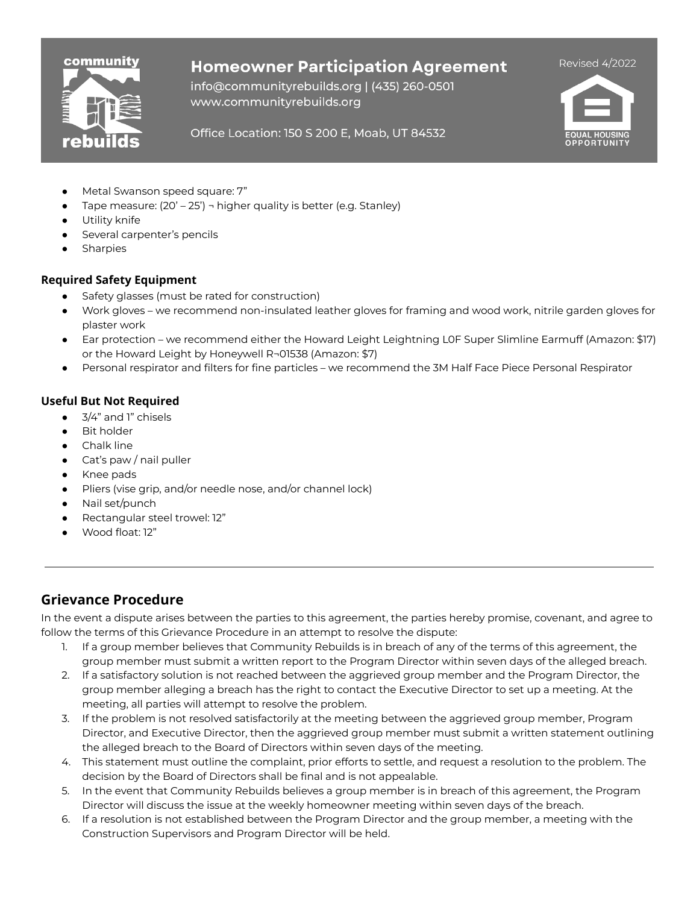

info@communityrebuilds.org | (435) 260-0501 www.communityrebuilds.org



#### Office Location: 150 S 200 E, Moab, UT 84532

- Metal Swanson speed square: 7"
- Tape measure:  $(20' 25')$   $\neg$  higher quality is better (e.g. Stanley)
- Utility knife
- Several carpenter's pencils
- **Sharpies**

#### **Required Safety Equipment**

- Safety glasses (must be rated for construction)
- Work gloves we recommend non-insulated leather gloves for framing and wood work, nitrile garden gloves for plaster work
- Ear protection we recommend either the Howard Leight Leightning L0F Super Slimline Earmuff (Amazon: \$17) or the Howard Leight by Honeywell R¬01538 (Amazon: \$7)
- Personal respirator and filters for fine particles we recommend the 3M Half Face Piece Personal Respirator

#### **Useful But Not Required**

- 3/4" and 1" chisels
- **Bit holder**
- **Chalk line**
- Cat's paw / nail puller
- Knee pads
- Pliers (vise grip, and/or needle nose, and/or channel lock)
- Nail set/punch
- Rectangular steel trowel: 12"
- Wood float: 12"

### **Grievance Procedure**

In the event a dispute arises between the parties to this agreement, the parties hereby promise, covenant, and agree to follow the terms of this Grievance Procedure in an attempt to resolve the dispute:

- 1. If a group member believes that Community Rebuilds is in breach of any of the terms of this agreement, the group member must submit a written report to the Program Director within seven days of the alleged breach.
- 2. If a satisfactory solution is not reached between the aggrieved group member and the Program Director, the group member alleging a breach has the right to contact the Executive Director to set up a meeting. At the meeting, all parties will attempt to resolve the problem.
- 3. If the problem is not resolved satisfactorily at the meeting between the aggrieved group member, Program Director, and Executive Director, then the aggrieved group member must submit a written statement outlining the alleged breach to the Board of Directors within seven days of the meeting.
- 4. This statement must outline the complaint, prior efforts to settle, and request a resolution to the problem. The decision by the Board of Directors shall be final and is not appealable.
- 5. In the event that Community Rebuilds believes a group member is in breach of this agreement, the Program Director will discuss the issue at the weekly homeowner meeting within seven days of the breach.
- 6. If a resolution is not established between the Program Director and the group member, a meeting with the Construction Supervisors and Program Director will be held.